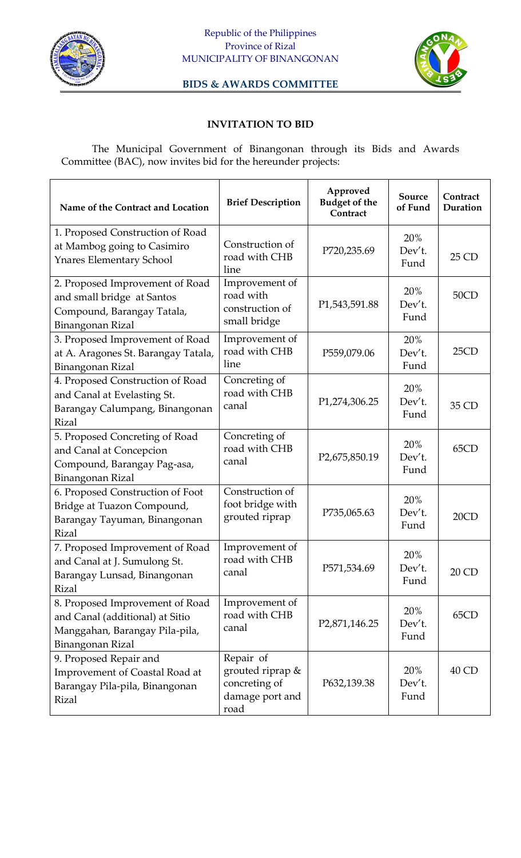



**BIDS & AWARDS COMMITTEE**

## **INVITATION TO BID**

The Municipal Government of Binangonan through its Bids and Awards Committee (BAC), now invites bid for the hereunder projects:

| Name of the Contract and Location                                                                                        | <b>Brief Description</b>                                                  | Approved<br><b>Budget of the</b><br>Contract | <b>Source</b><br>of Fund | Contract<br>Duration |
|--------------------------------------------------------------------------------------------------------------------------|---------------------------------------------------------------------------|----------------------------------------------|--------------------------|----------------------|
| 1. Proposed Construction of Road<br>at Mambog going to Casimiro                                                          | Construction of                                                           | P720,235.69                                  | 20%<br>Dev't.            |                      |
| <b>Ynares Elementary School</b>                                                                                          | road with CHB<br>line                                                     |                                              | Fund                     | 25 CD                |
| 2. Proposed Improvement of Road<br>and small bridge at Santos<br>Compound, Barangay Tatala,<br>Binangonan Rizal          | Improvement of<br>road with<br>construction of<br>small bridge            | P1,543,591.88                                | 20%<br>Dev't.<br>Fund    | 50CD                 |
| 3. Proposed Improvement of Road<br>at A. Aragones St. Barangay Tatala,<br>Binangonan Rizal                               | Improvement of<br>road with CHB<br>line                                   | P559,079.06                                  | 20%<br>Dev't.<br>Fund    | 25CD                 |
| 4. Proposed Construction of Road<br>and Canal at Evelasting St.<br>Barangay Calumpang, Binangonan<br><b>Rizal</b>        | Concreting of<br>road with CHB<br>canal                                   | P1,274,306.25                                | 20%<br>Dev't.<br>Fund    | 35 CD                |
| 5. Proposed Concreting of Road<br>and Canal at Concepcion<br>Compound, Barangay Pag-asa,<br>Binangonan Rizal             | Concreting of<br>road with CHB<br>canal                                   | P2,675,850.19                                | 20%<br>Dev't.<br>Fund    | 65CD                 |
| 6. Proposed Construction of Foot<br>Bridge at Tuazon Compound,<br>Barangay Tayuman, Binangonan<br><b>Rizal</b>           | Construction of<br>foot bridge with<br>grouted riprap                     | P735,065.63                                  | 20%<br>Dev't.<br>Fund    | 20CD                 |
| 7. Proposed Improvement of Road<br>and Canal at J. Sumulong St.<br>Barangay Lunsad, Binangonan<br><b>Rizal</b>           | Improvement of<br>road with CHB<br>canal                                  | P571,534.69                                  | 20%<br>Dev't.<br>Fund    | 20 CD                |
| 8. Proposed Improvement of Road<br>and Canal (additional) at Sitio<br>Manggahan, Barangay Pila-pila,<br>Binangonan Rizal | Improvement of<br>road with CHB<br>canal                                  | P <sub>2</sub> ,871,146.25                   | 20%<br>Dev't.<br>Fund    | 65CD                 |
| 9. Proposed Repair and<br>Improvement of Coastal Road at<br>Barangay Pila-pila, Binangonan<br><b>Rizal</b>               | Repair of<br>grouted riprap &<br>concreting of<br>damage port and<br>road | P632,139.38                                  | 20%<br>Dev't.<br>Fund    | 40 CD                |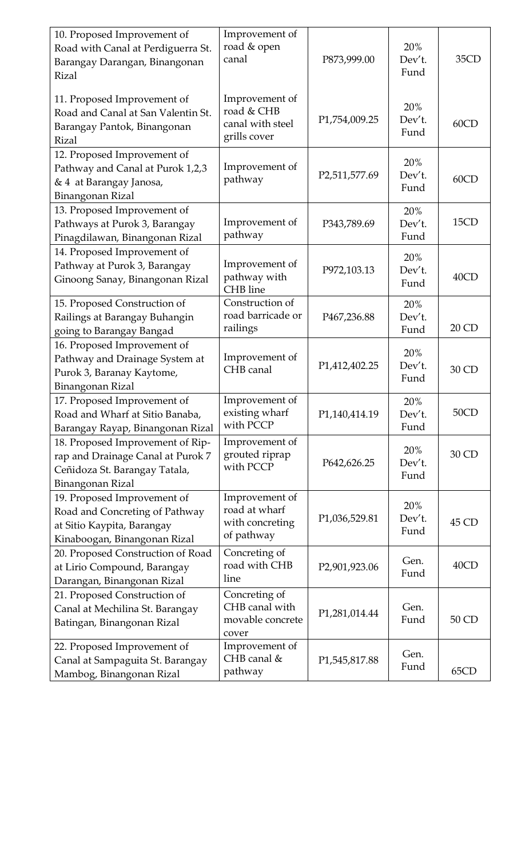| 10. Proposed Improvement of<br>Road with Canal at Perdiguerra St.<br>Barangay Darangan, Binangonan<br>Rizal                 | Improvement of<br>road & open<br>canal                           | P873,999.00                  | 20%<br>Dev't.<br>Fund | 35CD  |
|-----------------------------------------------------------------------------------------------------------------------------|------------------------------------------------------------------|------------------------------|-----------------------|-------|
| 11. Proposed Improvement of<br>Road and Canal at San Valentin St.<br>Barangay Pantok, Binangonan<br><b>Rizal</b>            | Improvement of<br>road & CHB<br>canal with steel<br>grills cover | P1,754,009.25                | 20%<br>Dev't.<br>Fund | 60CD  |
| 12. Proposed Improvement of<br>Pathway and Canal at Purok 1,2,3<br>& 4 at Barangay Janosa,<br>Binangonan Rizal              | Improvement of<br>pathway                                        | P2,511,577.69                | 20%<br>Dev't.<br>Fund | 60CD  |
| 13. Proposed Improvement of<br>Pathways at Purok 3, Barangay<br>Pinagdilawan, Binangonan Rizal                              | Improvement of<br>pathway                                        | P343,789.69                  | 20%<br>Dev't.<br>Fund | 15CD  |
| 14. Proposed Improvement of<br>Pathway at Purok 3, Barangay<br>Ginoong Sanay, Binangonan Rizal                              | Improvement of<br>pathway with<br>CHB line                       | P972,103.13                  | 20%<br>Dev't.<br>Fund | 40CD  |
| 15. Proposed Construction of<br>Railings at Barangay Buhangin<br>going to Barangay Bangad                                   | Construction of<br>road barricade or<br>railings                 | P467,236.88                  | 20%<br>Dev't.<br>Fund | 20 CD |
| 16. Proposed Improvement of<br>Pathway and Drainage System at<br>Purok 3, Baranay Kaytome,<br>Binangonan Rizal              | Improvement of<br>CHB canal                                      | P1,412,402.25                | 20%<br>Dev't.<br>Fund | 30 CD |
| 17. Proposed Improvement of<br>Road and Wharf at Sitio Banaba,<br>Barangay Rayap, Binangonan Rizal                          | Improvement of<br>existing wharf<br>with PCCP                    | P1,140,414.19                | 20%<br>Dev't.<br>Fund | 50CD  |
| 18. Proposed Improvement of Rip-<br>rap and Drainage Canal at Purok 7<br>Ceñidoza St. Barangay Tatala,<br>Binangonan Rizal  | Improvement of<br>grouted riprap<br>with PCCP                    | P642,626.25                  | 20%<br>Dev't.<br>Fund | 30 CD |
| 19. Proposed Improvement of<br>Road and Concreting of Pathway<br>at Sitio Kaypita, Barangay<br>Kinaboogan, Binangonan Rizal | Improvement of<br>road at wharf<br>with concreting<br>of pathway | P1,036,529.81                | 20%<br>Dev't.<br>Fund | 45 CD |
| 20. Proposed Construction of Road<br>at Lirio Compound, Barangay<br>Darangan, Binangonan Rizal                              | Concreting of<br>road with CHB<br>line                           | P2,901,923.06                | Gen.<br>Fund          | 40CD  |
| 21. Proposed Construction of<br>Canal at Mechilina St. Barangay<br>Batingan, Binangonan Rizal                               | Concreting of<br>CHB canal with<br>movable concrete<br>cover     | P1,281,014.44                | Gen.<br>Fund          | 50 CD |
| 22. Proposed Improvement of<br>Canal at Sampaguita St. Barangay<br>Mambog, Binangonan Rizal                                 | Improvement of<br>CHB canal &<br>pathway                         | P <sub>1</sub> , 545, 817.88 | Gen.<br>Fund          | 65CD  |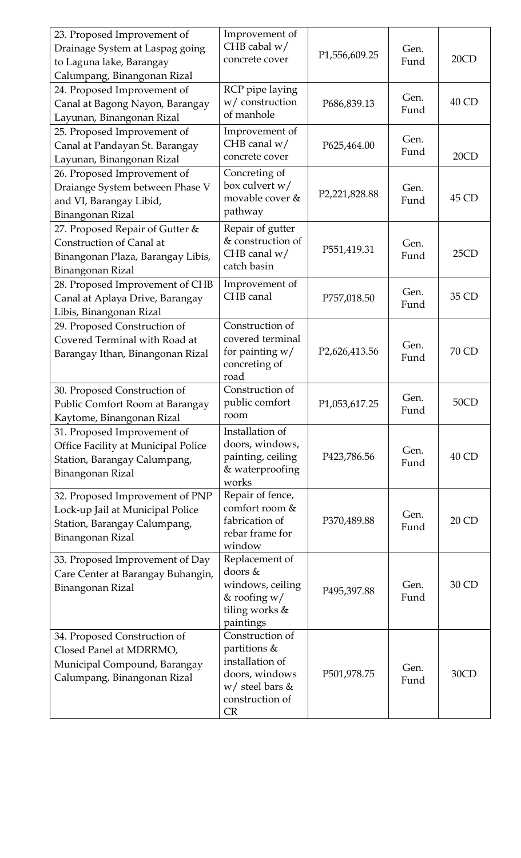| 23. Proposed Improvement of<br>Drainage System at Laspag going<br>to Laguna lake, Barangay<br>Calumpang, Binangonan Rizal     | Improvement of<br>CHB cabal $w/$<br>concrete cover                                                                        | P1,556,609.25              | Gen.<br>Fund | 20CD  |
|-------------------------------------------------------------------------------------------------------------------------------|---------------------------------------------------------------------------------------------------------------------------|----------------------------|--------------|-------|
| 24. Proposed Improvement of<br>Canal at Bagong Nayon, Barangay<br>Layunan, Binangonan Rizal                                   | RCP pipe laying<br>w/ construction<br>of manhole                                                                          | P686,839.13                | Gen.<br>Fund | 40 CD |
| 25. Proposed Improvement of<br>Canal at Pandayan St. Barangay<br>Layunan, Binangonan Rizal                                    | Improvement of<br>CHB canal $w/$<br>concrete cover                                                                        | P625,464.00                | Gen.<br>Fund | 20CD  |
| 26. Proposed Improvement of<br>Draiange System between Phase V<br>and VI, Barangay Libid,<br>Binangonan Rizal                 | Concreting of<br>box culvert w/<br>movable cover &<br>pathway                                                             | P2,221,828.88              | Gen.<br>Fund | 45 CD |
| 27. Proposed Repair of Gutter &<br>Construction of Canal at<br>Binangonan Plaza, Barangay Libis,<br>Binangonan Rizal          | Repair of gutter<br>& construction of<br>CHB canal $w/$<br>catch basin                                                    | P551,419.31                | Gen.<br>Fund | 25CD  |
| 28. Proposed Improvement of CHB<br>Canal at Aplaya Drive, Barangay<br>Libis, Binangonan Rizal                                 | Improvement of<br>CHB canal                                                                                               | P757,018.50                | Gen.<br>Fund | 35 CD |
| 29. Proposed Construction of<br>Covered Terminal with Road at<br>Barangay Ithan, Binangonan Rizal                             | Construction of<br>covered terminal<br>for painting $w/$<br>concreting of<br>road                                         | P <sub>2</sub> ,626,413.56 | Gen.<br>Fund | 70 CD |
| 30. Proposed Construction of<br>Public Comfort Room at Barangay<br>Kaytome, Binangonan Rizal                                  | Construction of<br>public comfort<br>room                                                                                 | P1,053,617.25              | Gen.<br>Fund | 50CD  |
| 31. Proposed Improvement of<br>Office Facility at Municipal Police<br>Station, Barangay Calumpang,<br><b>Binangonan Rizal</b> | Installation of<br>doors, windows,<br>painting, ceiling<br>& waterproofing<br>works                                       | P423,786.56                | Gen.<br>Fund | 40 CD |
| 32. Proposed Improvement of PNP<br>Lock-up Jail at Municipal Police<br>Station, Barangay Calumpang,<br>Binangonan Rizal       | Repair of fence,<br>comfort room &<br>fabrication of<br>rebar frame for<br>window                                         | P370,489.88                | Gen.<br>Fund | 20 CD |
| 33. Proposed Improvement of Day<br>Care Center at Barangay Buhangin,<br><b>Binangonan Rizal</b>                               | Replacement of<br>doors &<br>windows, ceiling<br>& roofing $w/$<br>tiling works &<br>paintings                            | P495,397.88                | Gen.<br>Fund | 30 CD |
| 34. Proposed Construction of<br>Closed Panel at MDRRMO,<br>Municipal Compound, Barangay<br>Calumpang, Binangonan Rizal        | Construction of<br>partitions &<br>installation of<br>doors, windows<br>$w/$ steel bars &<br>construction of<br><b>CR</b> | P501,978.75                | Gen.<br>Fund | 30CD  |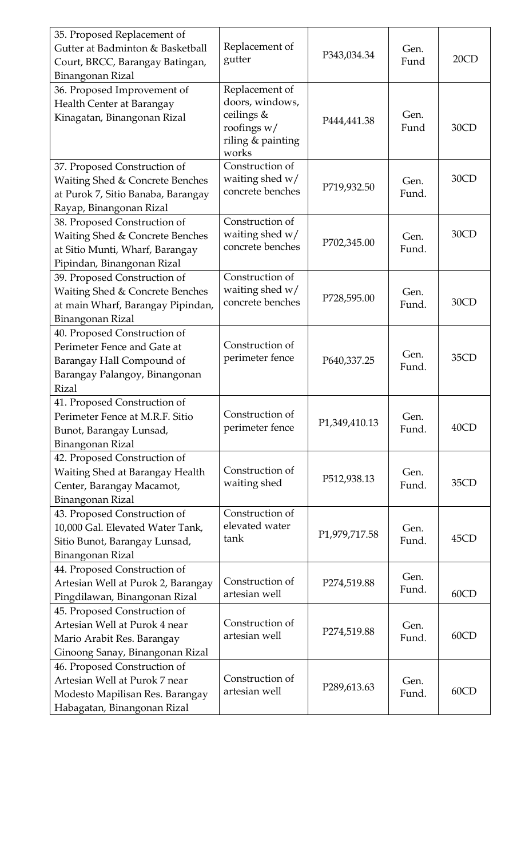| 35. Proposed Replacement of<br>Gutter at Badminton & Basketball<br>Court, BRCC, Barangay Batingan,<br>Binangonan Rizal                    | Replacement of<br>gutter                                                                     | P343,034.34   | Gen.<br>Fund  | 20CD |
|-------------------------------------------------------------------------------------------------------------------------------------------|----------------------------------------------------------------------------------------------|---------------|---------------|------|
| 36. Proposed Improvement of<br>Health Center at Barangay<br>Kinagatan, Binangonan Rizal                                                   | Replacement of<br>doors, windows,<br>ceilings &<br>roofings w/<br>riling & painting<br>works | P444,441.38   | Gen.<br>Fund  | 30CD |
| 37. Proposed Construction of<br>Waiting Shed & Concrete Benches<br>at Purok 7, Sitio Banaba, Barangay<br>Rayap, Binangonan Rizal          | Construction of<br>waiting shed w/<br>concrete benches                                       | P719,932.50   | Gen.<br>Fund. | 30CD |
| 38. Proposed Construction of<br>Waiting Shed & Concrete Benches<br>at Sitio Munti, Wharf, Barangay<br>Pipindan, Binangonan Rizal          | Construction of<br>waiting shed $w/$<br>concrete benches                                     | P702,345.00   | Gen.<br>Fund. | 30CD |
| 39. Proposed Construction of<br>Waiting Shed & Concrete Benches<br>at main Wharf, Barangay Pipindan,<br>Binangonan Rizal                  | Construction of<br>waiting shed w/<br>concrete benches                                       | P728,595.00   | Gen.<br>Fund. | 30CD |
| 40. Proposed Construction of<br>Perimeter Fence and Gate at<br>Barangay Hall Compound of<br>Barangay Palangoy, Binangonan<br><b>Rizal</b> | Construction of<br>perimeter fence                                                           | P640,337.25   | Gen.<br>Fund. | 35CD |
| 41. Proposed Construction of<br>Perimeter Fence at M.R.F. Sitio<br>Bunot, Barangay Lunsad,<br>Binangonan Rizal                            | Construction of<br>perimeter fence                                                           | P1,349,410.13 | Gen.<br>Fund. | 40CD |
| 42. Proposed Construction of<br>Waiting Shed at Barangay Health<br>Center, Barangay Macamot,<br>Binangonan Rizal                          | Construction of<br>waiting shed                                                              | P512,938.13   | Gen.<br>Fund. | 35CD |
| 43. Proposed Construction of<br>10,000 Gal. Elevated Water Tank,<br>Sitio Bunot, Barangay Lunsad,<br>Binangonan Rizal                     | Construction of<br>elevated water<br>tank                                                    | P1,979,717.58 | Gen.<br>Fund. | 45CD |
| 44. Proposed Construction of<br>Artesian Well at Purok 2, Barangay<br>Pingdilawan, Binangonan Rizal                                       | Construction of<br>artesian well                                                             | P274,519.88   | Gen.<br>Fund. | 60CD |
| 45. Proposed Construction of<br>Artesian Well at Purok 4 near<br>Mario Arabit Res. Barangay<br>Ginoong Sanay, Binangonan Rizal            | Construction of<br>artesian well                                                             | P274,519.88   | Gen.<br>Fund. | 60CD |
| 46. Proposed Construction of<br>Artesian Well at Purok 7 near<br>Modesto Mapilisan Res. Barangay<br>Habagatan, Binangonan Rizal           | Construction of<br>artesian well                                                             | P289,613.63   | Gen.<br>Fund. | 60CD |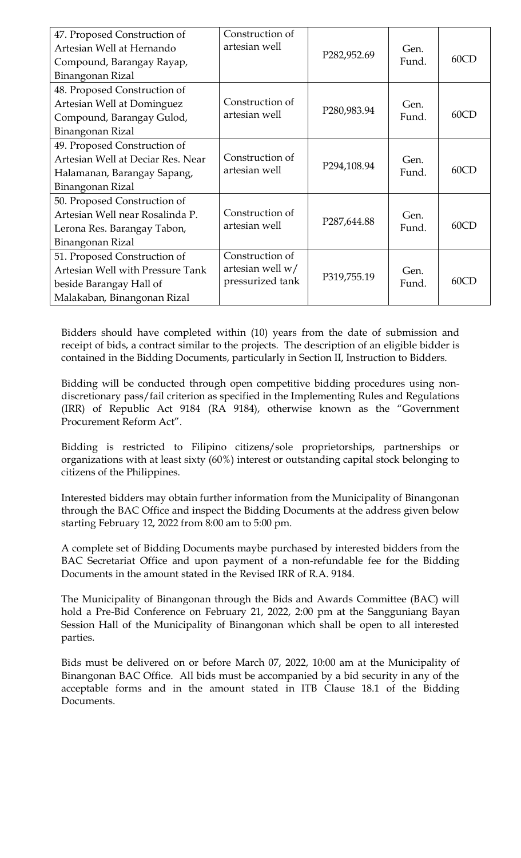| 47. Proposed Construction of<br>Artesian Well at Hernando<br>Compound, Barangay Rayap,<br>Binangonan Rizal                 | Construction of<br>artesian well                          | P282,952.69               | Gen.<br>Fund. | 60CD |
|----------------------------------------------------------------------------------------------------------------------------|-----------------------------------------------------------|---------------------------|---------------|------|
| 48. Proposed Construction of<br>Artesian Well at Dominguez<br>Compound, Barangay Gulod,<br>Binangonan Rizal                | Construction of<br>artesian well                          | P280,983.94               | Gen.<br>Fund. | 60CD |
| 49. Proposed Construction of<br>Artesian Well at Deciar Res. Near<br>Halamanan, Barangay Sapang,<br>Binangonan Rizal       | Construction of<br>artesian well                          | P294,108.94               | Gen.<br>Fund. | 60CD |
| 50. Proposed Construction of<br>Artesian Well near Rosalinda P.<br>Lerona Res. Barangay Tabon,<br>Binangonan Rizal         | Construction of<br>artesian well                          | P <sub>287</sub> , 644.88 | Gen.<br>Fund. | 60CD |
| 51. Proposed Construction of<br>Artesian Well with Pressure Tank<br>beside Barangay Hall of<br>Malakaban, Binangonan Rizal | Construction of<br>artesian well $w/$<br>pressurized tank | P319,755.19               | Gen.<br>Fund. | 60CD |

Bidders should have completed within (10) years from the date of submission and receipt of bids, a contract similar to the projects. The description of an eligible bidder is contained in the Bidding Documents, particularly in Section II, Instruction to Bidders.

Bidding will be conducted through open competitive bidding procedures using nondiscretionary pass/fail criterion as specified in the Implementing Rules and Regulations (IRR) of Republic Act 9184 (RA 9184), otherwise known as the "Government Procurement Reform Act".

Bidding is restricted to Filipino citizens/sole proprietorships, partnerships or organizations with at least sixty (60%) interest or outstanding capital stock belonging to citizens of the Philippines.

Interested bidders may obtain further information from the Municipality of Binangonan through the BAC Office and inspect the Bidding Documents at the address given below starting February 12, 2022 from 8:00 am to 5:00 pm.

A complete set of Bidding Documents maybe purchased by interested bidders from the BAC Secretariat Office and upon payment of a non-refundable fee for the Bidding Documents in the amount stated in the Revised IRR of R.A. 9184.

The Municipality of Binangonan through the Bids and Awards Committee (BAC) will hold a Pre-Bid Conference on February 21, 2022, 2:00 pm at the Sangguniang Bayan Session Hall of the Municipality of Binangonan which shall be open to all interested parties.

Bids must be delivered on or before March 07, 2022, 10:00 am at the Municipality of Binangonan BAC Office. All bids must be accompanied by a bid security in any of the acceptable forms and in the amount stated in ITB Clause 18.1 of the Bidding Documents.